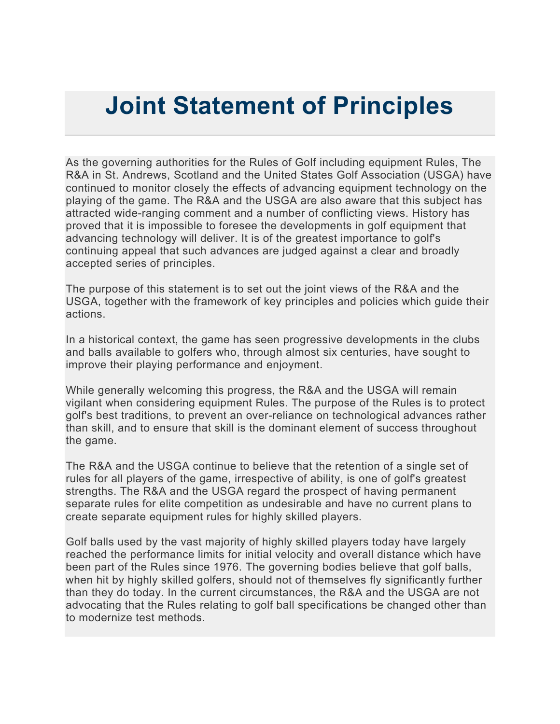## **Joint Statement of Principles**

As the governing authorities for the Rules of Golf including equipment Rules, The R&A in St. Andrews, Scotland and the United States Golf Association (USGA) have continued to monitor closely the effects of advancing equipment technology on the playing of the game. The R&A and the USGA are also aware that this subject has attracted wide-ranging comment and a number of conflicting views. History has proved that it is impossible to foresee the developments in golf equipment that advancing technology will deliver. It is of the greatest importance to golf's continuing appeal that such advances are judged against a clear and broadly accepted series of principles.

The purpose of this statement is to set out the joint views of the R&A and the USGA, together with the framework of key principles and policies which guide their actions.

In a historical context, the game has seen progressive developments in the clubs and balls available to golfers who, through almost six centuries, have sought to improve their playing performance and enjoyment.

While generally welcoming this progress, the R&A and the USGA will remain vigilant when considering equipment Rules. The purpose of the Rules is to protect golf's best traditions, to prevent an over-reliance on technological advances rather than skill, and to ensure that skill is the dominant element of success throughout the game.

The R&A and the USGA continue to believe that the retention of a single set of rules for all players of the game, irrespective of ability, is one of golf's greatest strengths. The R&A and the USGA regard the prospect of having permanent separate rules for elite competition as undesirable and have no current plans to create separate equipment rules for highly skilled players.

Golf balls used by the vast majority of highly skilled players today have largely reached the performance limits for initial velocity and overall distance which have been part of the Rules since 1976. The governing bodies believe that golf balls, when hit by highly skilled golfers, should not of themselves fly significantly further than they do today. In the current circumstances, the R&A and the USGA are not advocating that the Rules relating to golf ball specifications be changed other than to modernize test methods.